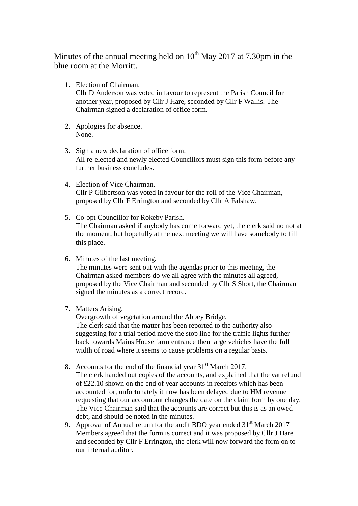Minutes of the annual meeting held on  $10^{th}$  May 2017 at 7.30pm in the blue room at the Morritt.

1. Election of Chairman.

Cllr D Anderson was voted in favour to represent the Parish Council for another year, proposed by Cllr J Hare, seconded by Cllr F Wallis. The Chairman signed a declaration of office form.

- 2. Apologies for absence. None.
- 3. Sign a new declaration of office form. All re-elected and newly elected Councillors must sign this form before any further business concludes.
- 4. Election of Vice Chairman. Cllr P Gilbertson was voted in favour for the roll of the Vice Chairman, proposed by Cllr F Errington and seconded by Cllr A Falshaw.
- 5. Co-opt Councillor for Rokeby Parish. The Chairman asked if anybody has come forward yet, the clerk said no not at the moment, but hopefully at the next meeting we will have somebody to fill this place.
- 6. Minutes of the last meeting. The minutes were sent out with the agendas prior to this meeting, the Chairman asked members do we all agree with the minutes all agreed, proposed by the Vice Chairman and seconded by Cllr S Short, the Chairman signed the minutes as a correct record.
- 7. Matters Arising.

Overgrowth of vegetation around the Abbey Bridge. The clerk said that the matter has been reported to the authority also suggesting for a trial period move the stop line for the traffic lights further back towards Mains House farm entrance then large vehicles have the full width of road where it seems to cause problems on a regular basis.

8. Accounts for the end of the financial year  $31<sup>st</sup>$  March 2017. The clerk handed out copies of the accounts, and explained that the vat refund of £22.10 shown on the end of year accounts in receipts which has been accounted for, unfortunately it now has been delayed due to HM revenue requesting that our accountant changes the date on the claim form by one day. The Vice Chairman said that the accounts are correct but this is as an owed

debt, and should be noted in the minutes.

9. Approval of Annual return for the audit BDO year ended  $31<sup>st</sup>$  March 2017 Members agreed that the form is correct and it was proposed by Cllr J Hare and seconded by Cllr F Errington, the clerk will now forward the form on to our internal auditor.